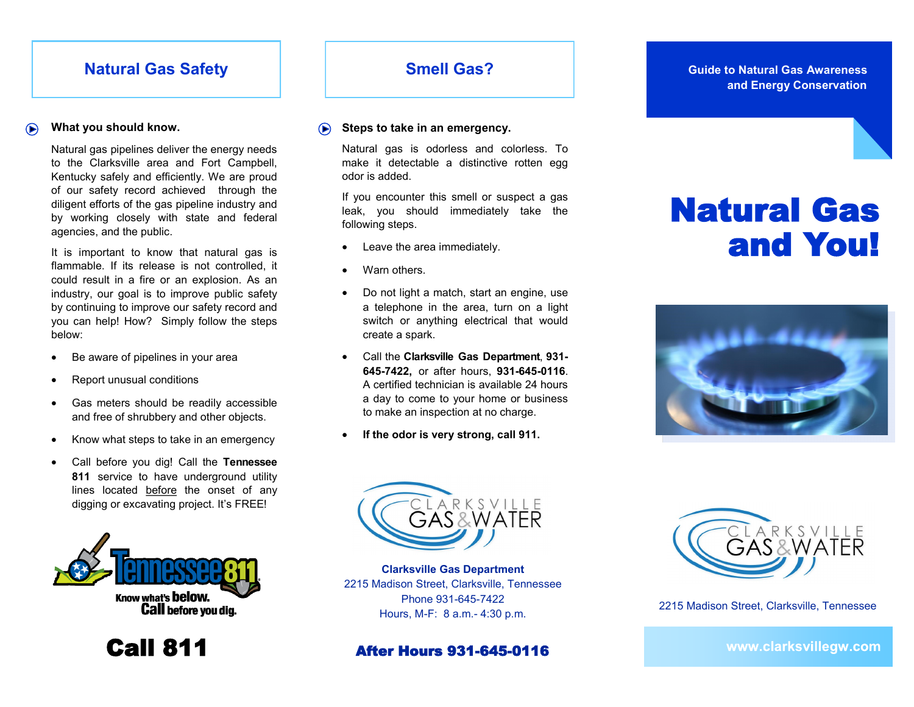# **Natural Gas Safety**

### **What you should know.**

Natural gas pipelines deliver the energy needs to the Clarksville area and Fort Campbell, Kentucky safely and efficiently. We are proud of our safety record achieved through the diligent efforts of the gas pipeline industry and by working closely with state and federal agencies, and the public.

It is important to know that natural gas is flammable. If its release is not controlled, it could result in a fire or an explosion. As an industry, our goal is to improve public safety by continuing to improve our safety record and you can help! How? Simply follow the steps below:

- Be aware of pipelines in your area
- Report unusual conditions
- Gas meters should be readily accessible and free of shrubbery and other objects.
- Know what steps to take in an emergency
- Call before you dig! Call the **Tennessee 811** service to have underground utility lines located before the onset of any digging or excavating project. It's FREE!



Call 811

# **Smell Gas?**

#### **Steps to take in an emergency.**  $\bigodot$

Natural gas is odorless and colorless. To make it detectable a distinctive rotten egg odor is added.

If you encounter this smell or suspect a gas leak, you should immediately take the following steps.

- Leave the area immediately.
- Warn others.
- Do not light a match, start an engine, use a telephone in the area, turn on a light switch or anything electrical that would create a spark.
- Call the **Clarksville Gas Department**, **931- 645-7422,** or after hours, **931-645-0116**. A certified technician is available 24 hours a day to come to your home or business to make an inspection at no charge.
- **If the odor is very strong, call 911.**

### **Guide to Natural Gas Awareness and Energy Conservation**

# Natural Gas and You!





**Clarksville Gas Department** 2215 Madison Street, Clarksville, Tennessee Phone 931-645-7422 Hours, M-F: 8 a.m.- 4:30 p.m.

## After Hours 931-645-0116



2215 Madison Street, Clarksville, Tennessee

www.clarksvillegw.com